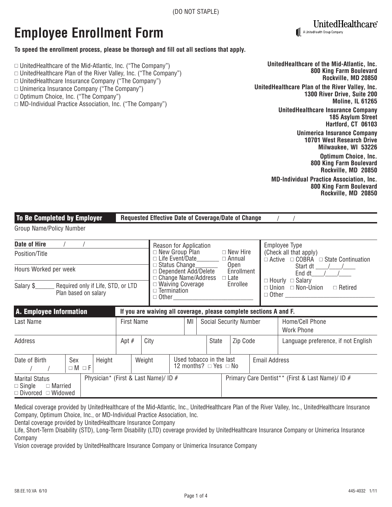# **Employee Enrollment Form**

#### **To speed the enrollment process, please be thorough and fill out all sections that apply.**

- $\Box$  UnitedHealthcare of the Mid-Atlantic, Inc. ("The Company")
- $\Box$  UnitedHealthcare Plan of the River Valley, Inc. ("The Company")
- $\Box$  UnitedHealthcare Insurance Company ("The Company")
- $\Box$  Unimerica Insurance Company ("The Company")
- □ Optimum Choice, Inc. ("The Company")
- □ MD-Individual Practice Association, Inc. ("The Company")

**UnitedHealthcare of the Mid-Atlantic, Inc. 800 King Farm Boulevard Rockville, MD 20850 UnitedHealthcare Plan of the River Valley, Inc. 1300 River Drive, Suite 200 Moline, IL 61265 UnitedHealthcare Insurance Company 185 Asylum Street Hartford, CT 06103 Unimerica Insurance Company 10701 West Research Drive Milwaukee, WI 53226 Optimum Choice, Inc. 800 King Farm Boulevard Rockville, MD 20850**

A UnitedHealth Group Company

UnitedHealthcare®

**MD-Individual Practice Association, Inc. 800 King Farm Boulevard Rockville, MD 20850**

| <b>To Be Completed by Employer</b><br>Requested Effective Date of Coverage/Date of Change        |                        |        |  |        |                                                                                                                                                           |                                                                                                                                                   |  |                                      |                                                      |                                     |                                                  |                                                                    |
|--------------------------------------------------------------------------------------------------|------------------------|--------|--|--------|-----------------------------------------------------------------------------------------------------------------------------------------------------------|---------------------------------------------------------------------------------------------------------------------------------------------------|--|--------------------------------------|------------------------------------------------------|-------------------------------------|--------------------------------------------------|--------------------------------------------------------------------|
| Group Name/Policy Number                                                                         |                        |        |  |        |                                                                                                                                                           |                                                                                                                                                   |  |                                      |                                                      |                                     |                                                  |                                                                    |
| Date of Hire                                                                                     |                        |        |  |        | Reason for Application                                                                                                                                    |                                                                                                                                                   |  |                                      | Employee Type                                        |                                     |                                                  |                                                                    |
| Position/Title                                                                                   |                        |        |  |        | $\Box$ New Group Plan<br>$\Box$ New Hire<br>(Check all that apply)<br>$\Box$ Life Event/Date<br>$\Box$ Annual                                             |                                                                                                                                                   |  |                                      | $\Box$ Active $\Box$ COBRA $\Box$ State Continuation |                                     |                                                  |                                                                    |
| Hours Worked per week                                                                            |                        |        |  |        |                                                                                                                                                           | □ Status Change<br>Open<br>Start dt / /<br>$\Box$ Dependent Add/Delete<br>Enrollment<br>End dt $/$ /<br>$\Box$ Change Name/Address<br>$\Box$ Late |  |                                      |                                                      |                                     |                                                  |                                                                    |
| Salary \$_<br>Required only if Life, STD, or LTD<br>Plan based on salary                         |                        |        |  |        | $\Box$ Hourly $\Box$ Salary<br>$\Box$ Waiving Coverage<br>Enrollee<br>$\Box$ Union $\Box$ Non-Union<br>$\Box$ Termination<br>$\Box$ Other<br>$\Box$ Other |                                                                                                                                                   |  | $\Box$ Retired                       |                                                      |                                     |                                                  |                                                                    |
| A. Employee Information                                                                          |                        |        |  |        |                                                                                                                                                           |                                                                                                                                                   |  |                                      |                                                      |                                     |                                                  | If you are waiving all coverage, please complete sections A and F. |
| <b>First Name</b><br>Last Name                                                                   |                        |        |  |        | MI<br><b>Social Security Number</b>                                                                                                                       |                                                                                                                                                   |  | Home/Cell Phone<br><b>Work Phone</b> |                                                      |                                     |                                                  |                                                                    |
| Apt $#$<br>Address                                                                               |                        |        |  | City   | State                                                                                                                                                     |                                                                                                                                                   |  | Zip Code                             |                                                      | Language preference, if not English |                                                  |                                                                    |
| Date of Birth                                                                                    | Sex<br>$\Box M \Box F$ | Height |  | Weight | Used tobacco in the last<br>12 months? $\Box$ Yes $\Box$ No                                                                                               |                                                                                                                                                   |  |                                      |                                                      | <b>Email Address</b>                |                                                  |                                                                    |
| Physician* (First & Last Name)/ ID #<br><b>Marital Status</b><br>$\Box$ Single<br>$\Box$ Married |                        |        |  |        |                                                                                                                                                           |                                                                                                                                                   |  |                                      |                                                      |                                     | Primary Care Dentist** (First & Last Name)/ ID # |                                                                    |

Medical coverage provided by UnitedHealthcare of the Mid-Atlantic, Inc., UnitedHealthcare Plan of the River Valley, Inc., UnitedHealthcare Insurance Company, Optimum Choice, Inc., or MD-Individual Practice Association, Inc.

Dental coverage provided by UnitedHealthcare Insurance Company

Life, Short-Term Disability (STD), Long-Term Disability (LTD) coverage provided by UnitedHealthcare Insurance Company or Unimerica Insurance Company

Vision coverage provided by UnitedHealthcare Insurance Company or Unimerica Insurance Company

 $\Box$  Divorced  $\Box$  Widowed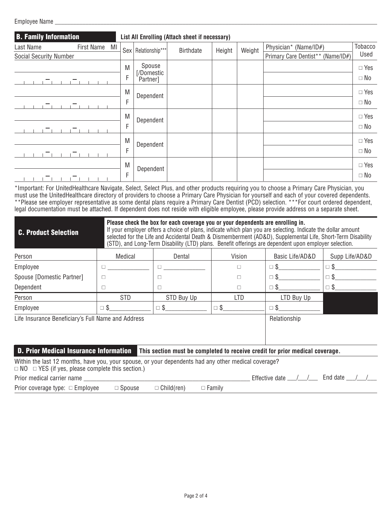Employee Name

| <b>B. Family Information</b>  | List All Enrolling (Attach sheet if necessary) |                        |           |        |        |                                   |               |
|-------------------------------|------------------------------------------------|------------------------|-----------|--------|--------|-----------------------------------|---------------|
| First Name<br>MI<br>Last Name |                                                | Sex   Relationship***  | Birthdate | Height | Weight | Physician* (Name/ID#)             | Tobacco       |
| <b>Social Security Number</b> |                                                |                        |           |        |        | Primary Care Dentist** (Name/ID#) | Used          |
|                               | M                                              | Spouse                 |           |        |        |                                   | $\Box$ Yes    |
|                               | F                                              | [/Domestic<br>Partner] |           |        |        |                                   | $\Box$ No     |
|                               | M                                              | Dependent              |           |        |        |                                   | $\square$ Yes |
|                               | F                                              |                        |           |        |        |                                   | $\Box$ No     |
|                               | M                                              | Dependent              |           |        |        |                                   | $\Box$ Yes    |
|                               | F                                              |                        |           |        |        |                                   | $\Box$ No     |
|                               | M                                              | Dependent              |           |        |        |                                   | $\Box$ Yes    |
|                               | F                                              |                        |           |        |        |                                   | $\Box$ No     |
|                               | M                                              | Dependent              |           |        |        |                                   | $\Box$ Yes    |
|                               | F                                              |                        |           |        |        |                                   | $\Box$ No     |

\*Important: For UnitedHealthcare Navigate, Select, Select Plus, and other products requiring you to choose a Primary Care Physician, you must use the UnitedHealthcare directory of providers to choose a Primary Care Physician for yourself and each of your covered dependents. \*\*Please see employer representative as some dental plans require a Primary Care Dentist (PCD) selection. \*\*\*For court ordered dependent, legal documentation must be attached. If dependent does not reside with eligible employee, please provide address on a separate sheet.

| <b>C. Product Selection</b>                                                                                                                                          | Please check the box for each coverage you or your dependents are enrolling in.<br>If your employer offers a choice of plans, indicate which plan you are selecting. Indicate the dollar amount<br>selected for the Life and Accidental Death & Dismemberment (AD&D), Supplemental Life, Short-Term Disability<br>(STD), and Long-Term Disability (LTD) plans. Benefit offerings are dependent upon employer selection. |                        |               |                                                                              |                |  |  |  |  |  |
|----------------------------------------------------------------------------------------------------------------------------------------------------------------------|-------------------------------------------------------------------------------------------------------------------------------------------------------------------------------------------------------------------------------------------------------------------------------------------------------------------------------------------------------------------------------------------------------------------------|------------------------|---------------|------------------------------------------------------------------------------|----------------|--|--|--|--|--|
| Person                                                                                                                                                               | Medical                                                                                                                                                                                                                                                                                                                                                                                                                 | Dental                 | Vision        | Basic Life/AD&D                                                              | Supp Life/AD&D |  |  |  |  |  |
| Employee                                                                                                                                                             | $\Box$                                                                                                                                                                                                                                                                                                                                                                                                                  | $\Box$                 | П             | $\square$ \$                                                                 | $\square$ \$   |  |  |  |  |  |
| Spouse [Domestic Partner]                                                                                                                                            | $\Box$                                                                                                                                                                                                                                                                                                                                                                                                                  |                        | □             | $\square$ \$                                                                 | $\square$ \$   |  |  |  |  |  |
| Dependent                                                                                                                                                            | □                                                                                                                                                                                                                                                                                                                                                                                                                       | $\Box$                 | □             | $\square$ \$                                                                 | $\square$ \$   |  |  |  |  |  |
| Person                                                                                                                                                               | <b>STD</b>                                                                                                                                                                                                                                                                                                                                                                                                              | STD Buy Up             | <b>LTD</b>    | LTD Buy Up                                                                   |                |  |  |  |  |  |
| Employee                                                                                                                                                             | $\square$ \$                                                                                                                                                                                                                                                                                                                                                                                                            | $\square$ $\mathsf{S}$ | $\square$ \$  | $\Box$ \$                                                                    |                |  |  |  |  |  |
| Life Insurance Beneficiary's Full Name and Address                                                                                                                   |                                                                                                                                                                                                                                                                                                                                                                                                                         |                        |               | Relationship                                                                 |                |  |  |  |  |  |
| <b>D. Prior Medical Insurance Information</b>                                                                                                                        |                                                                                                                                                                                                                                                                                                                                                                                                                         |                        |               | This section must be completed to receive credit for prior medical coverage. |                |  |  |  |  |  |
| Within the last 12 months, have you, your spouse, or your dependents had any other medical coverage?<br>$\Box$ NO $\Box$ YES (if yes, please complete this section.) |                                                                                                                                                                                                                                                                                                                                                                                                                         |                        |               |                                                                              |                |  |  |  |  |  |
| Prior medical carrier name                                                                                                                                           |                                                                                                                                                                                                                                                                                                                                                                                                                         |                        |               | Effective date $\_\_\_\_\_\_\_\_\_\_\_\_\$                                   | End date       |  |  |  |  |  |
| Prior coverage type: $\Box$ Employee                                                                                                                                 | $\Box$ Spouse                                                                                                                                                                                                                                                                                                                                                                                                           | $\Box$ Child(ren)      | $\Box$ Family |                                                                              |                |  |  |  |  |  |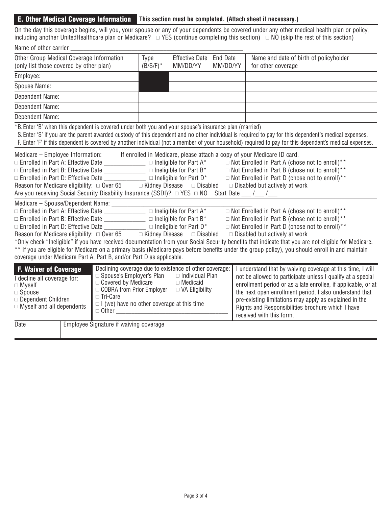## **E. Other Medical Coverage Information This section must be completed. (Attach sheet if necessary.)**

On the day this coverage begins, will you, your spouse or any of your dependents be covered under any other medical health plan or policy, including another UnitedHealthcare plan or Medicare?  $\;\;\square\;$ YES (continue completing this section)  $\;\;\square\;$  NO (skip the rest of this section)

| Name of other carrier                                                                                                                                                                                                                                                                                                                                                                                                                                                                                                                                                                                                                                                                                                                                                                                                                                                                   |                                                                                                                                                                                                                                                                                                                                                                                                                                                                                                                                                                                                                                                                                                                                                                                                                                                                                                           |                                   |                      |                                                              |                                                                                                                                                                                                                                                                                                                                                                                                                                                                                                                                                                                                                                                                                                                                                                                   |  |
|-----------------------------------------------------------------------------------------------------------------------------------------------------------------------------------------------------------------------------------------------------------------------------------------------------------------------------------------------------------------------------------------------------------------------------------------------------------------------------------------------------------------------------------------------------------------------------------------------------------------------------------------------------------------------------------------------------------------------------------------------------------------------------------------------------------------------------------------------------------------------------------------|-----------------------------------------------------------------------------------------------------------------------------------------------------------------------------------------------------------------------------------------------------------------------------------------------------------------------------------------------------------------------------------------------------------------------------------------------------------------------------------------------------------------------------------------------------------------------------------------------------------------------------------------------------------------------------------------------------------------------------------------------------------------------------------------------------------------------------------------------------------------------------------------------------------|-----------------------------------|----------------------|--------------------------------------------------------------|-----------------------------------------------------------------------------------------------------------------------------------------------------------------------------------------------------------------------------------------------------------------------------------------------------------------------------------------------------------------------------------------------------------------------------------------------------------------------------------------------------------------------------------------------------------------------------------------------------------------------------------------------------------------------------------------------------------------------------------------------------------------------------------|--|
| Other Group Medical Coverage Information<br>(only list those covered by other plan)                                                                                                                                                                                                                                                                                                                                                                                                                                                                                                                                                                                                                                                                                                                                                                                                     | Type<br>$(B/S/F)^*$                                                                                                                                                                                                                                                                                                                                                                                                                                                                                                                                                                                                                                                                                                                                                                                                                                                                                       | <b>Effective Date</b><br>MM/DD/YY | End Date<br>MM/DD/YY | Name and date of birth of policyholder<br>for other coverage |                                                                                                                                                                                                                                                                                                                                                                                                                                                                                                                                                                                                                                                                                                                                                                                   |  |
| Employee:                                                                                                                                                                                                                                                                                                                                                                                                                                                                                                                                                                                                                                                                                                                                                                                                                                                                               |                                                                                                                                                                                                                                                                                                                                                                                                                                                                                                                                                                                                                                                                                                                                                                                                                                                                                                           |                                   |                      |                                                              |                                                                                                                                                                                                                                                                                                                                                                                                                                                                                                                                                                                                                                                                                                                                                                                   |  |
| Spouse Name:                                                                                                                                                                                                                                                                                                                                                                                                                                                                                                                                                                                                                                                                                                                                                                                                                                                                            |                                                                                                                                                                                                                                                                                                                                                                                                                                                                                                                                                                                                                                                                                                                                                                                                                                                                                                           |                                   |                      |                                                              |                                                                                                                                                                                                                                                                                                                                                                                                                                                                                                                                                                                                                                                                                                                                                                                   |  |
| Dependent Name:                                                                                                                                                                                                                                                                                                                                                                                                                                                                                                                                                                                                                                                                                                                                                                                                                                                                         |                                                                                                                                                                                                                                                                                                                                                                                                                                                                                                                                                                                                                                                                                                                                                                                                                                                                                                           |                                   |                      |                                                              |                                                                                                                                                                                                                                                                                                                                                                                                                                                                                                                                                                                                                                                                                                                                                                                   |  |
| Dependent Name:                                                                                                                                                                                                                                                                                                                                                                                                                                                                                                                                                                                                                                                                                                                                                                                                                                                                         |                                                                                                                                                                                                                                                                                                                                                                                                                                                                                                                                                                                                                                                                                                                                                                                                                                                                                                           |                                   |                      |                                                              |                                                                                                                                                                                                                                                                                                                                                                                                                                                                                                                                                                                                                                                                                                                                                                                   |  |
| Dependent Name:                                                                                                                                                                                                                                                                                                                                                                                                                                                                                                                                                                                                                                                                                                                                                                                                                                                                         |                                                                                                                                                                                                                                                                                                                                                                                                                                                                                                                                                                                                                                                                                                                                                                                                                                                                                                           |                                   |                      |                                                              |                                                                                                                                                                                                                                                                                                                                                                                                                                                                                                                                                                                                                                                                                                                                                                                   |  |
|                                                                                                                                                                                                                                                                                                                                                                                                                                                                                                                                                                                                                                                                                                                                                                                                                                                                                         | *B. Enter 'B' when this dependent is covered under both you and your spouse's insurance plan (married)                                                                                                                                                                                                                                                                                                                                                                                                                                                                                                                                                                                                                                                                                                                                                                                                    |                                   |                      |                                                              | S. Enter 'S' if you are the parent awarded custody of this dependent and no other individual is required to pay for this dependent's medical expenses.<br>F. Enter 'F' if this dependent is covered by another individual (not a member of your household) required to pay for this dependent's medical expenses.                                                                                                                                                                                                                                                                                                                                                                                                                                                                 |  |
|                                                                                                                                                                                                                                                                                                                                                                                                                                                                                                                                                                                                                                                                                                                                                                                                                                                                                         | Medicare – Employee Information: If enrolled in Medicare, please attach a copy of your Medicare ID card.<br>$\Box$ Enrolled in Part A: Effective Date _______________________ $\Box$ Ineligible for Part A*<br>$\Box$ Enrolled in Part B: Effective Date ___________________ $\Box$ Ineligible for Part B*<br>$\Box$ Enrolled in Part D: Effective Date ______________ $\Box$ Ineligible for Part D*<br>Reason for Medicare eligibility: $\Box$ Over 65 $\Box$ Kidney Disease<br>Are you receiving Social Security Disability Insurance (SSDI)? □ YES □ NO<br>$\Box$ Enrolled in Part A: Effective Date $\Box$ $\Box$ Ineligible for Part A*<br>$\Box$ Enrolled in Part D: Effective Date ________________ $\Box$ Ineligible for Part D*<br>Reason for Medicare eligibility: $\Box$ Over 65 $\Box$ Kidney Disease $\Box$ Disabled<br>coverage under Medicare Part A, Part B, and/or Part D as applicable. |                                   | $\Box$ Disabled      |                                                              | $\Box$ Not Enrolled in Part A (chose not to enroll)**<br>$\Box$ Not Enrolled in Part B (chose not to enroll)**<br>$\Box$ Not Enrolled in Part D (chose not to enroll)**<br>$\Box$ Disabled but actively at work<br>Start Date $\frac{1}{\sqrt{2}}$<br>$\Box$ Not Enrolled in Part A (chose not to enroll)**<br>$\Box$ Not Enrolled in Part B (chose not to enroll)**<br>$\Box$ Not Enrolled in Part D (chose not to enroll)**<br>$\Box$ Disabled but actively at work<br>*Only check "Ineligible" if you have received documentation from your Social Security benefits that indicate that you are not eligible for Medicare.<br>** If you are eligible for Medicare on a primary basis (Medicare pays before benefits under the group policy), you should enroll in and maintain |  |
| Declining coverage due to existence of other coverage:<br><b>F. Waiver of Coverage</b><br>I understand that by waiving coverage at this time, I will<br>$\Box$ Spouse's Employer's Plan<br>$\Box$ Individual Plan<br>not be allowed to participate unless I qualify at a special<br>I decline all coverage for:<br>$\Box$ Covered by Medicare<br>$\Box$ Medicaid<br>enrollment period or as a late enrollee, if applicable, or at<br>$\Box$ Myself<br>□ COBRA from Prior Employer<br>$\Box$ VA Eligibility<br>the next open enrollment period. I also understand that<br>$\Box$ Spouse<br>□ Tri-Care<br>□ Dependent Children<br>pre-existing limitations may apply as explained in the<br>$\Box$ I (we) have no other coverage at this time<br>$\Box$ Myself and all dependents<br>Rights and Responsibilities brochure which I have<br>$\Box$ Other $\Box$<br>received with this form. |                                                                                                                                                                                                                                                                                                                                                                                                                                                                                                                                                                                                                                                                                                                                                                                                                                                                                                           |                                   |                      |                                                              |                                                                                                                                                                                                                                                                                                                                                                                                                                                                                                                                                                                                                                                                                                                                                                                   |  |
| Date                                                                                                                                                                                                                                                                                                                                                                                                                                                                                                                                                                                                                                                                                                                                                                                                                                                                                    | Employee Signature if waiving coverage                                                                                                                                                                                                                                                                                                                                                                                                                                                                                                                                                                                                                                                                                                                                                                                                                                                                    |                                   |                      |                                                              |                                                                                                                                                                                                                                                                                                                                                                                                                                                                                                                                                                                                                                                                                                                                                                                   |  |